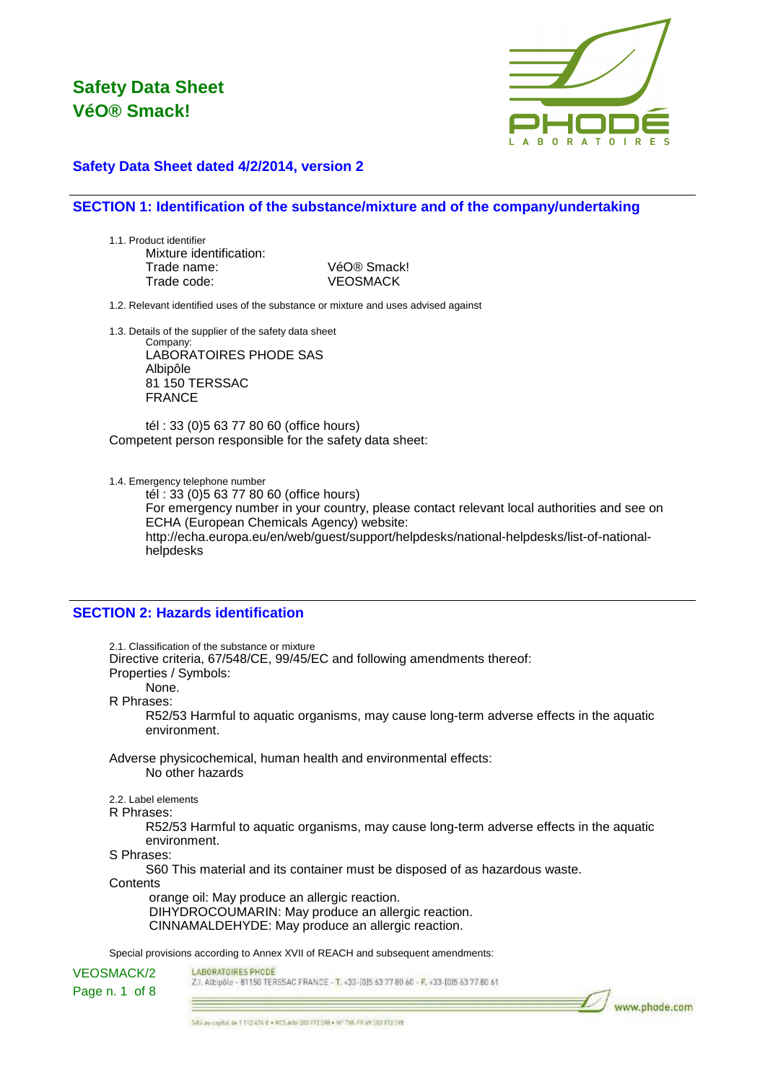

### **Safety Data Sheet dated 4/2/2014, version 2**

### **SECTION 1: Identification of the substance/mixture and of the company/undertaking**

1.1. Product identifier Mixture identification: Trade name: VéO® Smack! Trade code: VEOSMACK

1.2. Relevant identified uses of the substance or mixture and uses advised against

1.3. Details of the supplier of the safety data sheet

Company: LABORATOIRES PHODE SAS Albipôle 81 150 TERSSAC FRANCE

tél : 33 (0)5 63 77 80 60 (office hours) Competent person responsible for the safety data sheet:

1.4. Emergency telephone number

tél : 33 (0)5 63 77 80 60 (office hours) For emergency number in your country, please contact relevant local authorities and see on ECHA (European Chemicals Agency) website: http://echa.europa.eu/en/web/guest/support/helpdesks/national-helpdesks/list-of-nationalhelpdesks

### **SECTION 2: Hazards identification**

2.1. Classification of the substance or mixture Directive criteria, 67/548/CE, 99/45/EC and following amendments thereof: Properties / Symbols: None. R Phrases: R52/53 Harmful to aquatic organisms, may cause long-term adverse effects in the aquatic environment. Adverse physicochemical, human health and environmental effects: No other hazards 2.2. Label elements R Phrases: R52/53 Harmful to aquatic organisms, may cause long-term adverse effects in the aquatic environment. S Phrases: S60 This material and its container must be disposed of as hazardous waste. **Contents**  orange oil: May produce an allergic reaction. DIHYDROCOUMARIN: May produce an allergic reaction. CINNAMALDEHYDE: May produce an allergic reaction. Special provisions according to Annex XVII of REACH and subsequent amendments:

LABORATOIRES PHODE VEOSMACK/2 Z.I. Albipôle - 81150 TERSSAC FRANCE - T. +33-(0)5 63 77 80 60 - F. +33-(0)5 63 77 80 61 Page n. 1 of 8

www.phode.com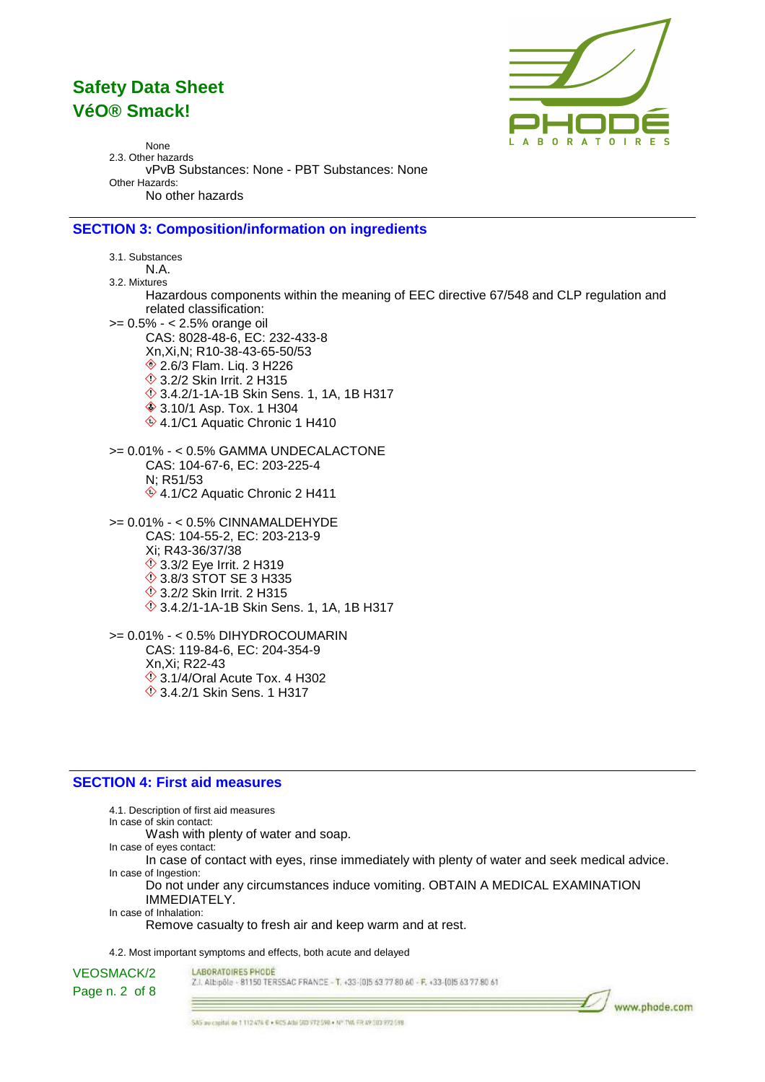

None 2.3. Other hazards vPvB Substances: None - PBT Substances: None Other Hazards: No other hazards

### **SECTION 3: Composition/information on ingredients**

3.1. Substances N.A. 3.2. Mixtures Hazardous components within the meaning of EEC directive 67/548 and CLP regulation and related classification: >= 0.5% - < 2.5% orange oil CAS: 8028-48-6, EC: 232-433-8 Xn,Xi,N; R10-38-43-65-50/53 **♦ 2.6/3 Flam. Liq. 3 H226 ♦ 3.2/2 Skin Irrit. 2 H315**  3.4.2/1-1A-1B Skin Sens. 1, 1A, 1B H317 **♦ 3.10/1 Asp. Tox. 1 H304** ♦ 4.1/C1 Aquatic Chronic 1 H410 >= 0.01% - < 0.5% GAMMA UNDECALACTONE CAS: 104-67-6, EC: 203-225-4 N; R51/53  $\circ$  4.1/C2 Aquatic Chronic 2 H411 >= 0.01% - < 0.5% CINNAMALDEHYDE CAS: 104-55-2, EC: 203-213-9 Xi; R43-36/37/38 **♦ 3.3/2 Eye Irrit. 2 H319 ♦ 3.8/3 STOT SE 3 H335 1**3.2/2 Skin Irrit. 2 H315 3.4.2/1-1A-1B Skin Sens. 1, 1A, 1B H317 >= 0.01% - < 0.5% DIHYDROCOUMARIN CAS: 119-84-6, EC: 204-354-9

Xn,Xi; R22-43  $\Diamond$  3.1/4/Oral Acute Tox. 4 H302 **1** 3.4.2/1 Skin Sens. 1 H317

#### **SECTION 4: First aid measures**

4.1. Description of first aid measures In case of skin contact: Wash with plenty of water and soap. In case of eyes contact: In case of contact with eyes, rinse immediately with plenty of water and seek medical advice. In case of Ingestion: Do not under any circumstances induce vomiting. OBTAIN A MEDICAL EXAMINATION IMMEDIATELY. In case of Inhalation: Remove casualty to fresh air and keep warm and at rest. 4.2. Most important symptoms and effects, both acute and delayed

LABORATOIRES PHODE

VEOSMACK/2 Page n. 2 of 8

Z.I. Albipôle - 81150 TERSSAC FRANCE - T. +33-1015 63 77 80 60 - F. +33-1015 63 77 80 61

www.phode.com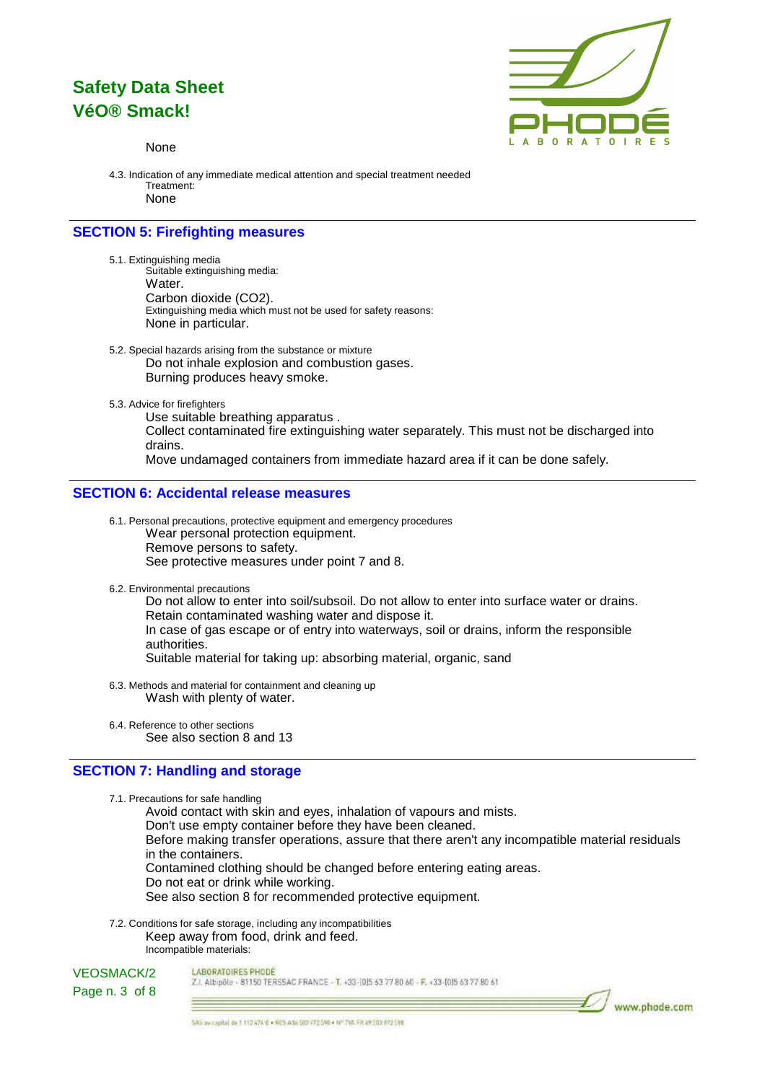

www.phode.com

#### None

4.3. Indication of any immediate medical attention and special treatment needed Treatment: None

### **SECTION 5: Firefighting measures**

- 5.1. Extinguishing media Suitable extinguishing media: Water. Carbon dioxide (CO2). Extinguishing media which must not be used for safety reasons: None in particular.
- 5.2. Special hazards arising from the substance or mixture Do not inhale explosion and combustion gases. Burning produces heavy smoke.
- 5.3. Advice for firefighters

Use suitable breathing apparatus . Collect contaminated fire extinguishing water separately. This must not be discharged into drains. Move undamaged containers from immediate hazard area if it can be done safely.

#### **SECTION 6: Accidental release measures**

6.1. Personal precautions, protective equipment and emergency procedures Wear personal protection equipment. Remove persons to safety. See protective measures under point 7 and 8.

6.2. Environmental precautions

Do not allow to enter into soil/subsoil. Do not allow to enter into surface water or drains. Retain contaminated washing water and dispose it. In case of gas escape or of entry into waterways, soil or drains, inform the responsible authorities. Suitable material for taking up: absorbing material, organic, sand

- 6.3. Methods and material for containment and cleaning up Wash with plenty of water.
- 6.4. Reference to other sections See also section 8 and 13

#### **SECTION 7: Handling and storage**

7.1. Precautions for safe handling

Avoid contact with skin and eyes, inhalation of vapours and mists.

Don't use empty container before they have been cleaned.

Before making transfer operations, assure that there aren't any incompatible material residuals in the containers.

Contamined clothing should be changed before entering eating areas.

Do not eat or drink while working.

See also section 8 for recommended protective equipment.

7.2. Conditions for safe storage, including any incompatibilities Keep away from food, drink and feed. Incompatible materials:



LABORATOIRES PHODE

Z.I. Albipôle - 81150 TERSSAC FRANCE - T. +33-(0)5 63 77 80 60 - F. +33-(0)5 63 77 80 61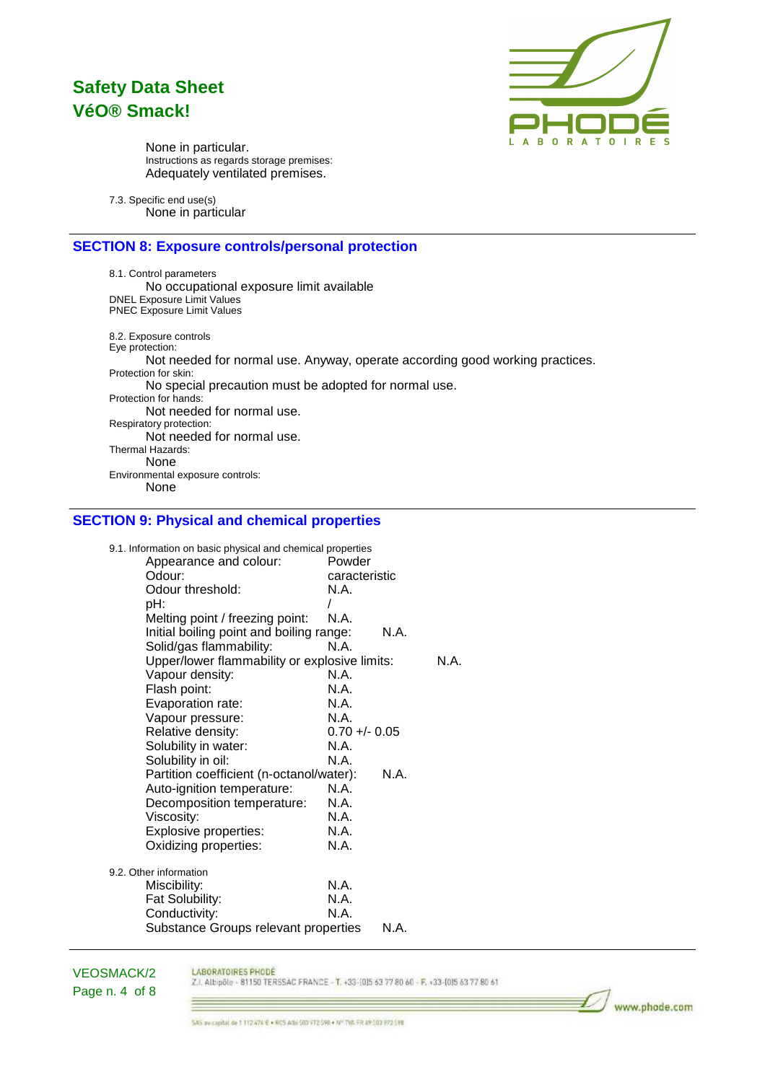

www.phode.com

None in particular. Instructions as regards storage premises: Adequately ventilated premises.

7.3. Specific end use(s) None in particular

### **SECTION 8: Exposure controls/personal protection**

8.1. Control parameters No occupational exposure limit available DNEL Exposure Limit Values PNEC Exposure Limit Values 8.2. Exposure controls Eye protection: Not needed for normal use. Anyway, operate according good working practices. Protection for skin: No special precaution must be adopted for normal use. Protection for hands: Not needed for normal use. Respiratory protection: Not needed for normal use. Thermal Hazards: None Environmental exposure controls: None

### **SECTION 9: Physical and chemical properties**

| 9.1. Information on basic physical and chemical properties |                 |      |      |
|------------------------------------------------------------|-----------------|------|------|
| Appearance and colour:                                     | Powder          |      |      |
| Odour:                                                     | caracteristic   |      |      |
| Odour threshold:                                           | N.A.            |      |      |
| pH:                                                        |                 |      |      |
| Melting point / freezing point:                            | N.A.            |      |      |
| Initial boiling point and boiling range:                   |                 | N.A. |      |
| Solid/gas flammability:                                    | N.A.            |      |      |
| Upper/lower flammability or explosive limits:              |                 |      | N.A. |
| Vapour density:                                            | N.A.            |      |      |
| Flash point:                                               | N.A.            |      |      |
| Evaporation rate:                                          | N.A.            |      |      |
| Vapour pressure:                                           | N.A.            |      |      |
| Relative density:                                          | $0.70 +/- 0.05$ |      |      |
| Solubility in water:                                       | N.A.            |      |      |
| Solubility in oil:                                         | N.A.            |      |      |
| Partition coefficient (n-octanol/water):                   |                 | N.A. |      |
| Auto-ignition temperature:                                 | N.A.            |      |      |
| Decomposition temperature:                                 | N.A.            |      |      |
| Viscosity:                                                 | N.A.            |      |      |
| Explosive properties:                                      | N.A.            |      |      |
| Oxidizing properties:                                      | N.A.            |      |      |
| 9.2. Other information                                     |                 |      |      |
| Miscibility:                                               | N.A.            |      |      |
| Fat Solubility:                                            | N.A.            |      |      |
| Conductivity:                                              | N A             |      |      |
| Substance Groups relevant properties                       |                 | N.A. |      |

VEOSMACK/2 Page n. 4 of 8

 $=$ 

LABORATOIRES PHODE Z.I. Albipôle - 81150 TERSSAC FRANCE - T. +33-(0)5 63 77 80 60 - F. +33-(0)5 63 77 80 61

SAS av capital de 1 112 474 € + 605 Athi 503 772 598 + Nº TVA FR 49 303 772 598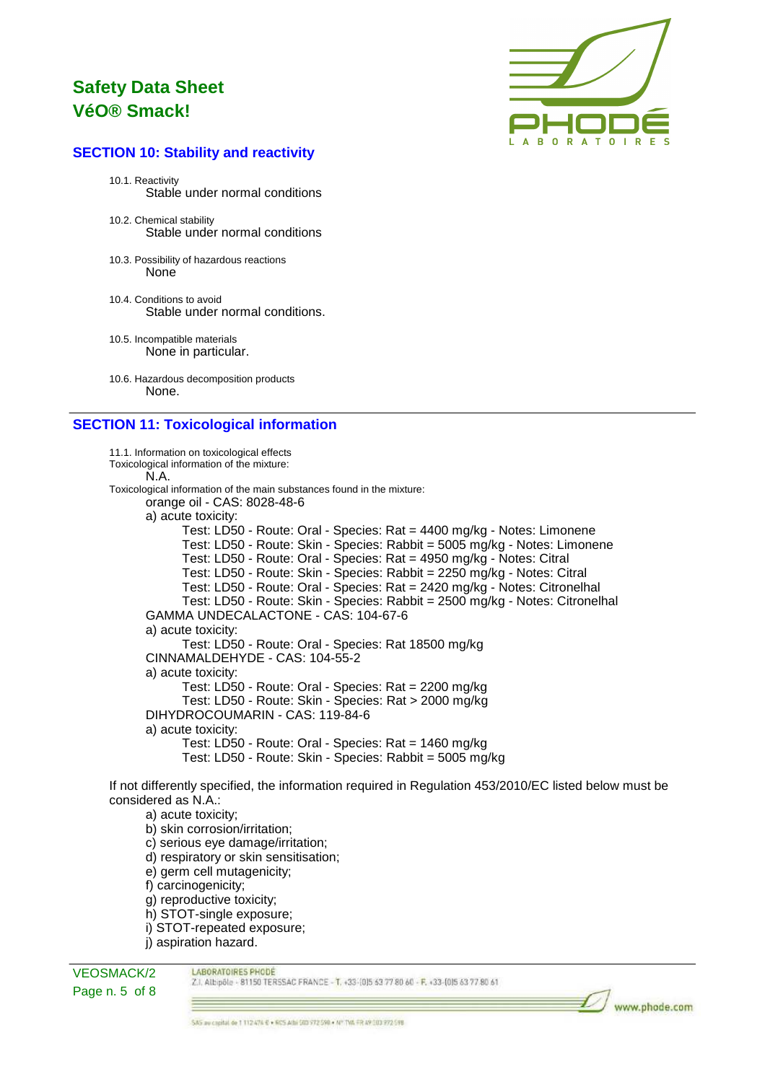

### **SECTION 10: Stability and reactivity**

- 10.1. Reactivity Stable under normal conditions
- 10.2. Chemical stability Stable under normal conditions
- 10.3. Possibility of hazardous reactions None
- 10.4. Conditions to avoid Stable under normal conditions.
- 10.5. Incompatible materials None in particular.
- 10.6. Hazardous decomposition products None.

### **SECTION 11: Toxicological information**

11.1. Information on toxicological effects Toxicological information of the mixture: N.A. Toxicological information of the main substances found in the mixture: orange oil - CAS: 8028-48-6 a) acute toxicity: Test: LD50 - Route: Oral - Species: Rat = 4400 mg/kg - Notes: Limonene Test: LD50 - Route: Skin - Species: Rabbit = 5005 mg/kg - Notes: Limonene Test: LD50 - Route: Oral - Species: Rat = 4950 mg/kg - Notes: Citral Test: LD50 - Route: Skin - Species: Rabbit = 2250 mg/kg - Notes: Citral Test: LD50 - Route: Oral - Species: Rat = 2420 mg/kg - Notes: Citronelhal Test: LD50 - Route: Skin - Species: Rabbit = 2500 mg/kg - Notes: Citronelhal GAMMA UNDECALACTONE - CAS: 104-67-6 a) acute toxicity: Test: LD50 - Route: Oral - Species: Rat 18500 mg/kg CINNAMALDEHYDE - CAS: 104-55-2 a) acute toxicity: Test: LD50 - Route: Oral - Species: Rat = 2200 mg/kg Test: LD50 - Route: Skin - Species: Rat > 2000 mg/kg DIHYDROCOUMARIN - CAS: 119-84-6 a) acute toxicity: Test: LD50 - Route: Oral - Species: Rat = 1460 mg/kg Test: LD50 - Route: Skin - Species: Rabbit = 5005 mg/kg

If not differently specified, the information required in Regulation 453/2010/EC listed below must be considered as N.A.:

a) acute toxicity; b) skin corrosion/irritation; c) serious eye damage/irritation; d) respiratory or skin sensitisation; e) germ cell mutagenicity; f) carcinogenicity;

- g) reproductive toxicity;
- h) STOT-single exposure;
- i) STOT-repeated exposure;
- j) aspiration hazard.

VEOSMACK/2 Page n. 5 of 8 LABORATOIRES PHODE

Z.I. Albipôle - 81150 TERSSAC FRANCE - T. +33-(0)5 63 77 80 60 - F. +33-(0)5 63 77 80 61

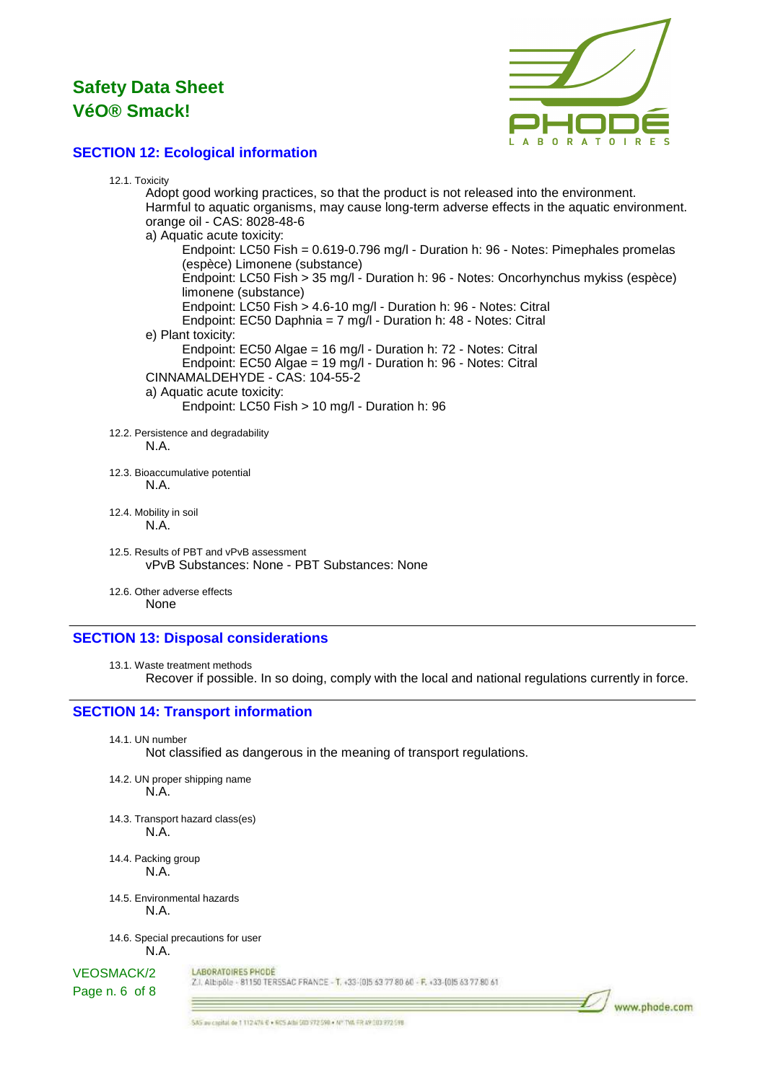

### **SECTION 12: Ecological information**

| 12.1. Toxicity                                                                                    |
|---------------------------------------------------------------------------------------------------|
| Adopt good working practices, so that the product is not released into the environment.           |
| Harmful to aquatic organisms, may cause long-term adverse effects in the aquatic environment.     |
| orange oil - CAS: 8028-48-6                                                                       |
| a) Aquatic acute toxicity:                                                                        |
| Endpoint: LC50 Fish = 0.619-0.796 mg/l - Duration h: 96 - Notes: Pimephales promelas              |
| (espèce) Limonene (substance)                                                                     |
| Endpoint: LC50 Fish > 35 mg/l - Duration h: 96 - Notes: Oncorhynchus mykiss (espèce)              |
| limonene (substance)                                                                              |
| Endpoint: LC50 Fish > 4.6-10 mg/l - Duration h: 96 - Notes: Citral                                |
| Endpoint: EC50 Daphnia = 7 mg/l - Duration h: 48 - Notes: Citral                                  |
| e) Plant toxicity:                                                                                |
| Endpoint: EC50 Algae = 16 mg/l - Duration h: 72 - Notes: Citral                                   |
| Endpoint: EC50 Algae = 19 mg/l - Duration h: 96 - Notes: Citral<br>CINNAMALDEHYDE - CAS: 104-55-2 |
| a) Aquatic acute toxicity:                                                                        |
| Endpoint: LC50 Fish > 10 mg/l - Duration h: 96                                                    |
|                                                                                                   |
| 12.2. Persistence and degradability                                                               |
| N.A.                                                                                              |
|                                                                                                   |
| 12.3. Bioaccumulative potential                                                                   |
| N.A.                                                                                              |
|                                                                                                   |
| 12.4. Mobility in soil<br>N.A.                                                                    |
|                                                                                                   |
| 12.5. Results of PBT and vPvB assessment                                                          |
| vPvB Substances: None - PBT Substances: None                                                      |
|                                                                                                   |
| 12.6. Other adverse effects                                                                       |
| None                                                                                              |

### **SECTION 13: Disposal considerations**

13.1. Waste treatment methods Recover if possible. In so doing, comply with the local and national regulations currently in force.

### **SECTION 14: Transport information**

14.1. UN number

Not classified as dangerous in the meaning of transport regulations.

- 14.2. UN proper shipping name N.A.
- 14.3. Transport hazard class(es) N.A.
- 14.4. Packing group N.A.
- 14.5. Environmental hazards N.A.

14.6. Special precautions for user N.A.

 $=$ 

#### LABORATOIRES PHODE VEOSMACK/2

Page n. 6 of 8

Z.I. Albipôle - 81150 TERSSAC FRANCE - T. +33-(0)5 63 77 80 60 - F. +33-(0)5 63 77 80 61

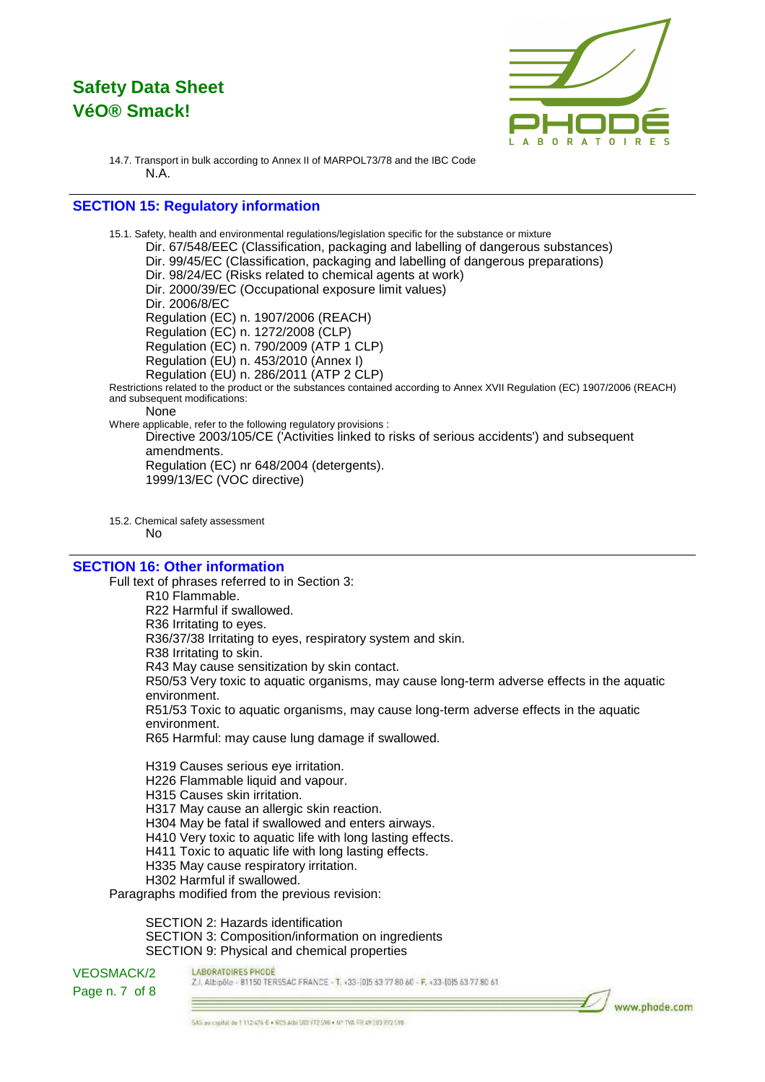

www.phode.com

14.7. Transport in bulk according to Annex II of MARPOL73/78 and the IBC Code N.A.

### **SECTION 15: Regulatory information**

15.1. Safety, health and environmental regulations/legislation specific for the substance or mixture Dir. 67/548/EEC (Classification, packaging and labelling of dangerous substances) Dir. 99/45/EC (Classification, packaging and labelling of dangerous preparations) Dir. 98/24/EC (Risks related to chemical agents at work) Dir. 2000/39/EC (Occupational exposure limit values) Dir. 2006/8/EC Regulation (EC) n. 1907/2006 (REACH) Regulation (EC) n. 1272/2008 (CLP) Regulation (EC) n. 790/2009 (ATP 1 CLP) Regulation (EU) n. 453/2010 (Annex I) Regulation (EU) n. 286/2011 (ATP 2 CLP) Restrictions related to the product or the substances contained according to Annex XVII Regulation (EC) 1907/2006 (REACH) and subsequent modifications: None Where applicable, refer to the following regulatory provisions : Directive 2003/105/CE ('Activities linked to risks of serious accidents') and subsequent amendments.

Regulation (EC) nr 648/2004 (detergents). 1999/13/EC (VOC directive)

15.2. Chemical safety assessment No

### **SECTION 16: Other information**

Full text of phrases referred to in Section 3: R10 Flammable. R22 Harmful if swallowed. R36 Irritating to eyes. R36/37/38 Irritating to eyes, respiratory system and skin. R38 Irritating to skin. R43 May cause sensitization by skin contact. R50/53 Very toxic to aquatic organisms, may cause long-term adverse effects in the aquatic environment. R51/53 Toxic to aquatic organisms, may cause long-term adverse effects in the aquatic environment. R65 Harmful: may cause lung damage if swallowed.

H319 Causes serious eye irritation. H226 Flammable liquid and vapour.

H315 Causes skin irritation.

H317 May cause an allergic skin reaction.

H304 May be fatal if swallowed and enters airways.

H410 Very toxic to aquatic life with long lasting effects. H411 Toxic to aquatic life with long lasting effects.

H335 May cause respiratory irritation.

H302 Harmful if swallowed.

Paragraphs modified from the previous revision:

SECTION 2: Hazards identification SECTION 3: Composition/information on ingredients SECTION 9: Physical and chemical properties

VEOSMACK/2 Page n. 7 of 8

#### LABORATOIRES PHODE

Z.I. Albipôle - 81150 TERSSAC FRANCE - T. +33-(0)5 63 77 80 60 - F. +33-(0)5 63 77 80 61

SAS au capital de 1 112 474 € + 605 Athi 503 972 590 + Nº TVA FR 49 303 972 598